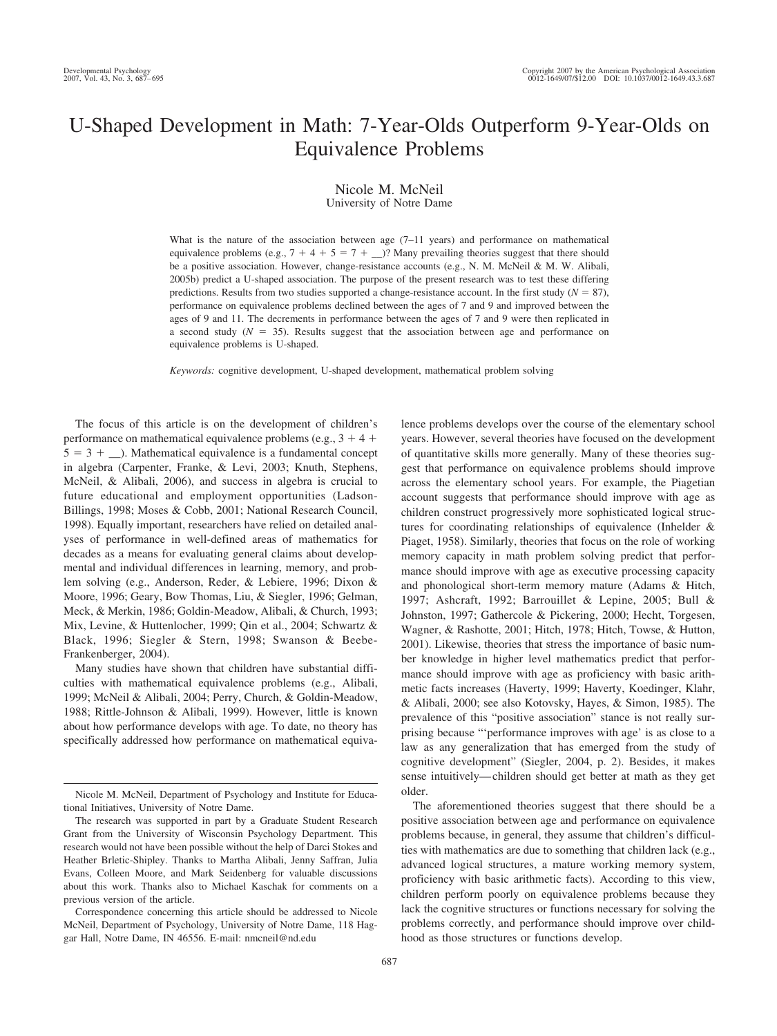# U-Shaped Development in Math: 7-Year-Olds Outperform 9-Year-Olds on Equivalence Problems

# Nicole M. McNeil

University of Notre Dame

What is the nature of the association between age  $(7-11)$  years) and performance on mathematical equivalence problems (e.g.,  $7 + 4 + 5 = 7 + \dots$ )? Many prevailing theories suggest that there should be a positive association. However, change-resistance accounts (e.g., N. M. McNeil & M. W. Alibali, 2005b) predict a U-shaped association. The purpose of the present research was to test these differing predictions. Results from two studies supported a change-resistance account. In the first study  $(N = 87)$ , performance on equivalence problems declined between the ages of 7 and 9 and improved between the ages of 9 and 11. The decrements in performance between the ages of 7 and 9 were then replicated in a second study  $(N = 35)$ . Results suggest that the association between age and performance on equivalence problems is U-shaped.

*Keywords:* cognitive development, U-shaped development, mathematical problem solving

The focus of this article is on the development of children's performance on mathematical equivalence problems (e.g.,  $3 + 4 +$  $5 = 3 + \dots$ ). Mathematical equivalence is a fundamental concept in algebra (Carpenter, Franke, & Levi, 2003; Knuth, Stephens, McNeil, & Alibali, 2006), and success in algebra is crucial to future educational and employment opportunities (Ladson-Billings, 1998; Moses & Cobb, 2001; National Research Council, 1998). Equally important, researchers have relied on detailed analyses of performance in well-defined areas of mathematics for decades as a means for evaluating general claims about developmental and individual differences in learning, memory, and problem solving (e.g., Anderson, Reder, & Lebiere, 1996; Dixon & Moore, 1996; Geary, Bow Thomas, Liu, & Siegler, 1996; Gelman, Meck, & Merkin, 1986; Goldin-Meadow, Alibali, & Church, 1993; Mix, Levine, & Huttenlocher, 1999; Qin et al., 2004; Schwartz & Black, 1996; Siegler & Stern, 1998; Swanson & Beebe-Frankenberger, 2004).

Many studies have shown that children have substantial difficulties with mathematical equivalence problems (e.g., Alibali, 1999; McNeil & Alibali, 2004; Perry, Church, & Goldin-Meadow, 1988; Rittle-Johnson & Alibali, 1999). However, little is known about how performance develops with age. To date, no theory has specifically addressed how performance on mathematical equivalence problems develops over the course of the elementary school years. However, several theories have focused on the development of quantitative skills more generally. Many of these theories suggest that performance on equivalence problems should improve across the elementary school years. For example, the Piagetian account suggests that performance should improve with age as children construct progressively more sophisticated logical structures for coordinating relationships of equivalence (Inhelder & Piaget, 1958). Similarly, theories that focus on the role of working memory capacity in math problem solving predict that performance should improve with age as executive processing capacity and phonological short-term memory mature (Adams & Hitch, 1997; Ashcraft, 1992; Barrouillet & Lepine, 2005; Bull & Johnston, 1997; Gathercole & Pickering, 2000; Hecht, Torgesen, Wagner, & Rashotte, 2001; Hitch, 1978; Hitch, Towse, & Hutton, 2001). Likewise, theories that stress the importance of basic number knowledge in higher level mathematics predict that performance should improve with age as proficiency with basic arithmetic facts increases (Haverty, 1999; Haverty, Koedinger, Klahr, & Alibali, 2000; see also Kotovsky, Hayes, & Simon, 1985). The prevalence of this "positive association" stance is not really surprising because "'performance improves with age' is as close to a law as any generalization that has emerged from the study of cognitive development" (Siegler, 2004, p. 2). Besides, it makes sense intuitively—children should get better at math as they get older.

The aforementioned theories suggest that there should be a positive association between age and performance on equivalence problems because, in general, they assume that children's difficulties with mathematics are due to something that children lack (e.g., advanced logical structures, a mature working memory system, proficiency with basic arithmetic facts). According to this view, children perform poorly on equivalence problems because they lack the cognitive structures or functions necessary for solving the problems correctly, and performance should improve over childhood as those structures or functions develop.

Nicole M. McNeil, Department of Psychology and Institute for Educational Initiatives, University of Notre Dame.

The research was supported in part by a Graduate Student Research Grant from the University of Wisconsin Psychology Department. This research would not have been possible without the help of Darci Stokes and Heather Brletic-Shipley. Thanks to Martha Alibali, Jenny Saffran, Julia Evans, Colleen Moore, and Mark Seidenberg for valuable discussions about this work. Thanks also to Michael Kaschak for comments on a previous version of the article.

Correspondence concerning this article should be addressed to Nicole McNeil, Department of Psychology, University of Notre Dame, 118 Haggar Hall, Notre Dame, IN 46556. E-mail: nmcneil@nd.edu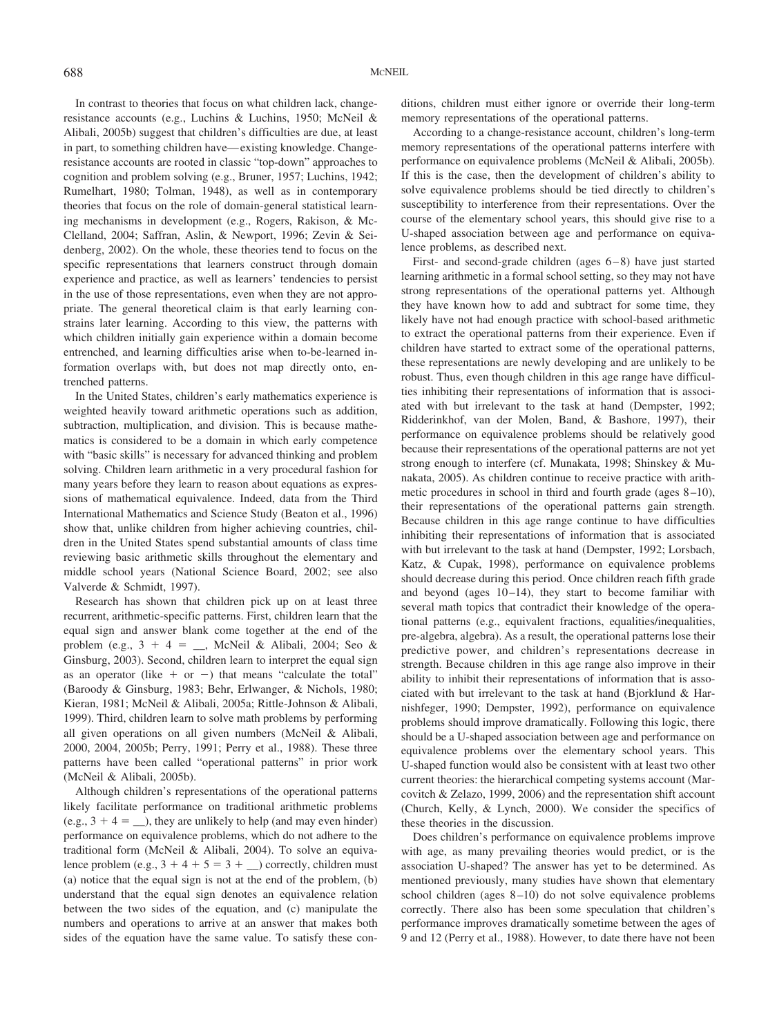In contrast to theories that focus on what children lack, changeresistance accounts (e.g., Luchins & Luchins, 1950; McNeil & Alibali, 2005b) suggest that children's difficulties are due, at least in part, to something children have—existing knowledge. Changeresistance accounts are rooted in classic "top-down" approaches to cognition and problem solving (e.g., Bruner, 1957; Luchins, 1942; Rumelhart, 1980; Tolman, 1948), as well as in contemporary theories that focus on the role of domain-general statistical learning mechanisms in development (e.g., Rogers, Rakison, & Mc-Clelland, 2004; Saffran, Aslin, & Newport, 1996; Zevin & Seidenberg, 2002). On the whole, these theories tend to focus on the specific representations that learners construct through domain experience and practice, as well as learners' tendencies to persist in the use of those representations, even when they are not appropriate. The general theoretical claim is that early learning constrains later learning. According to this view, the patterns with which children initially gain experience within a domain become entrenched, and learning difficulties arise when to-be-learned information overlaps with, but does not map directly onto, entrenched patterns.

In the United States, children's early mathematics experience is weighted heavily toward arithmetic operations such as addition, subtraction, multiplication, and division. This is because mathematics is considered to be a domain in which early competence with "basic skills" is necessary for advanced thinking and problem solving. Children learn arithmetic in a very procedural fashion for many years before they learn to reason about equations as expressions of mathematical equivalence. Indeed, data from the Third International Mathematics and Science Study (Beaton et al., 1996) show that, unlike children from higher achieving countries, children in the United States spend substantial amounts of class time reviewing basic arithmetic skills throughout the elementary and middle school years (National Science Board, 2002; see also Valverde & Schmidt, 1997).

Research has shown that children pick up on at least three recurrent, arithmetic-specific patterns. First, children learn that the equal sign and answer blank come together at the end of the problem (e.g.,  $3 + 4 = \underline{\hspace{1cm}}$ , McNeil & Alibali, 2004; Seo & Ginsburg, 2003). Second, children learn to interpret the equal sign as an operator (like  $+$  or  $-$ ) that means "calculate the total" (Baroody & Ginsburg, 1983; Behr, Erlwanger, & Nichols, 1980; Kieran, 1981; McNeil & Alibali, 2005a; Rittle-Johnson & Alibali, 1999). Third, children learn to solve math problems by performing all given operations on all given numbers (McNeil & Alibali, 2000, 2004, 2005b; Perry, 1991; Perry et al., 1988). These three patterns have been called "operational patterns" in prior work (McNeil & Alibali, 2005b).

Although children's representations of the operational patterns likely facilitate performance on traditional arithmetic problems  $(e.g., 3 + 4 = ...)$ , they are unlikely to help (and may even hinder) performance on equivalence problems, which do not adhere to the traditional form (McNeil & Alibali, 2004). To solve an equivalence problem (e.g.,  $3 + 4 + 5 = 3 + \_$ ) correctly, children must (a) notice that the equal sign is not at the end of the problem, (b) understand that the equal sign denotes an equivalence relation between the two sides of the equation, and (c) manipulate the numbers and operations to arrive at an answer that makes both sides of the equation have the same value. To satisfy these conditions, children must either ignore or override their long-term memory representations of the operational patterns.

According to a change-resistance account, children's long-term memory representations of the operational patterns interfere with performance on equivalence problems (McNeil & Alibali, 2005b). If this is the case, then the development of children's ability to solve equivalence problems should be tied directly to children's susceptibility to interference from their representations. Over the course of the elementary school years, this should give rise to a U-shaped association between age and performance on equivalence problems, as described next.

First- and second-grade children (ages 6–8) have just started learning arithmetic in a formal school setting, so they may not have strong representations of the operational patterns yet. Although they have known how to add and subtract for some time, they likely have not had enough practice with school-based arithmetic to extract the operational patterns from their experience. Even if children have started to extract some of the operational patterns, these representations are newly developing and are unlikely to be robust. Thus, even though children in this age range have difficulties inhibiting their representations of information that is associated with but irrelevant to the task at hand (Dempster, 1992; Ridderinkhof, van der Molen, Band, & Bashore, 1997), their performance on equivalence problems should be relatively good because their representations of the operational patterns are not yet strong enough to interfere (cf. Munakata, 1998; Shinskey & Munakata, 2005). As children continue to receive practice with arithmetic procedures in school in third and fourth grade (ages 8–10), their representations of the operational patterns gain strength. Because children in this age range continue to have difficulties inhibiting their representations of information that is associated with but irrelevant to the task at hand (Dempster, 1992; Lorsbach, Katz, & Cupak, 1998), performance on equivalence problems should decrease during this period. Once children reach fifth grade and beyond (ages 10–14), they start to become familiar with several math topics that contradict their knowledge of the operational patterns (e.g., equivalent fractions, equalities/inequalities, pre-algebra, algebra). As a result, the operational patterns lose their predictive power, and children's representations decrease in strength. Because children in this age range also improve in their ability to inhibit their representations of information that is associated with but irrelevant to the task at hand (Bjorklund & Harnishfeger, 1990; Dempster, 1992), performance on equivalence problems should improve dramatically. Following this logic, there should be a U-shaped association between age and performance on equivalence problems over the elementary school years. This U-shaped function would also be consistent with at least two other current theories: the hierarchical competing systems account (Marcovitch & Zelazo, 1999, 2006) and the representation shift account (Church, Kelly, & Lynch, 2000). We consider the specifics of these theories in the discussion.

Does children's performance on equivalence problems improve with age, as many prevailing theories would predict, or is the association U-shaped? The answer has yet to be determined. As mentioned previously, many studies have shown that elementary school children (ages 8–10) do not solve equivalence problems correctly. There also has been some speculation that children's performance improves dramatically sometime between the ages of 9 and 12 (Perry et al., 1988). However, to date there have not been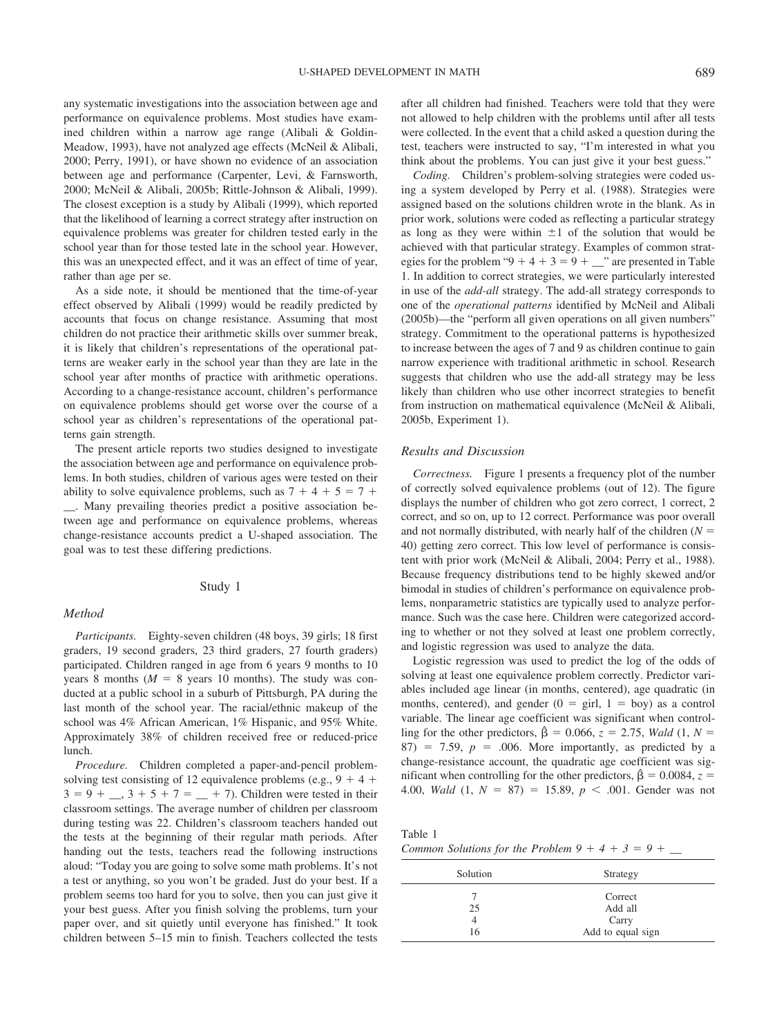any systematic investigations into the association between age and performance on equivalence problems. Most studies have examined children within a narrow age range (Alibali & Goldin-Meadow, 1993), have not analyzed age effects (McNeil & Alibali, 2000; Perry, 1991), or have shown no evidence of an association between age and performance (Carpenter, Levi, & Farnsworth, 2000; McNeil & Alibali, 2005b; Rittle-Johnson & Alibali, 1999). The closest exception is a study by Alibali (1999), which reported that the likelihood of learning a correct strategy after instruction on equivalence problems was greater for children tested early in the school year than for those tested late in the school year. However, this was an unexpected effect, and it was an effect of time of year, rather than age per se.

As a side note, it should be mentioned that the time-of-year effect observed by Alibali (1999) would be readily predicted by accounts that focus on change resistance. Assuming that most children do not practice their arithmetic skills over summer break, it is likely that children's representations of the operational patterns are weaker early in the school year than they are late in the school year after months of practice with arithmetic operations. According to a change-resistance account, children's performance on equivalence problems should get worse over the course of a school year as children's representations of the operational patterns gain strength.

The present article reports two studies designed to investigate the association between age and performance on equivalence problems. In both studies, children of various ages were tested on their ability to solve equivalence problems, such as  $7 + 4 + 5 = 7 +$ \_\_. Many prevailing theories predict a positive association between age and performance on equivalence problems, whereas change-resistance accounts predict a U-shaped association. The goal was to test these differing predictions.

# Study 1

# *Method*

*Participants.* Eighty-seven children (48 boys, 39 girls; 18 first graders, 19 second graders, 23 third graders, 27 fourth graders) participated. Children ranged in age from 6 years 9 months to 10 years 8 months  $(M = 8$  years 10 months). The study was conducted at a public school in a suburb of Pittsburgh, PA during the last month of the school year. The racial/ethnic makeup of the school was 4% African American, 1% Hispanic, and 95% White. Approximately 38% of children received free or reduced-price lunch.

*Procedure.* Children completed a paper-and-pencil problemsolving test consisting of 12 equivalence problems (e.g.,  $9 + 4 +$  $3 = 9 + \dots$ ,  $3 + 5 + 7 = \dots + 7$ ). Children were tested in their classroom settings. The average number of children per classroom during testing was 22. Children's classroom teachers handed out the tests at the beginning of their regular math periods. After handing out the tests, teachers read the following instructions aloud: "Today you are going to solve some math problems. It's not a test or anything, so you won't be graded. Just do your best. If a problem seems too hard for you to solve, then you can just give it your best guess. After you finish solving the problems, turn your paper over, and sit quietly until everyone has finished." It took children between 5–15 min to finish. Teachers collected the tests after all children had finished. Teachers were told that they were not allowed to help children with the problems until after all tests were collected. In the event that a child asked a question during the test, teachers were instructed to say, "I'm interested in what you think about the problems. You can just give it your best guess."

*Coding.* Children's problem-solving strategies were coded using a system developed by Perry et al. (1988). Strategies were assigned based on the solutions children wrote in the blank. As in prior work, solutions were coded as reflecting a particular strategy as long as they were within  $\pm 1$  of the solution that would be achieved with that particular strategy. Examples of common strategies for the problem " $9 + 4 + 3 = 9 + \dots$ " are presented in Table 1. In addition to correct strategies, we were particularly interested in use of the *add-all* strategy. The add-all strategy corresponds to one of the *operational patterns* identified by McNeil and Alibali (2005b)—the "perform all given operations on all given numbers" strategy. Commitment to the operational patterns is hypothesized to increase between the ages of 7 and 9 as children continue to gain narrow experience with traditional arithmetic in school. Research suggests that children who use the add-all strategy may be less likely than children who use other incorrect strategies to benefit from instruction on mathematical equivalence (McNeil & Alibali, 2005b, Experiment 1).

# *Results and Discussion*

*Correctness.* Figure 1 presents a frequency plot of the number of correctly solved equivalence problems (out of 12). The figure displays the number of children who got zero correct, 1 correct, 2 correct, and so on, up to 12 correct. Performance was poor overall and not normally distributed, with nearly half of the children  $(N =$ 40) getting zero correct. This low level of performance is consistent with prior work (McNeil & Alibali, 2004; Perry et al., 1988). Because frequency distributions tend to be highly skewed and/or bimodal in studies of children's performance on equivalence problems, nonparametric statistics are typically used to analyze performance. Such was the case here. Children were categorized according to whether or not they solved at least one problem correctly, and logistic regression was used to analyze the data.

Logistic regression was used to predict the log of the odds of solving at least one equivalence problem correctly. Predictor variables included age linear (in months, centered), age quadratic (in months, centered), and gender  $(0 = \text{girl}, 1 = \text{boy})$  as a control variable. The linear age coefficient was significant when controlling for the other predictors,  $\hat{\beta} = 0.066$ ,  $z = 2.75$ , *Wald* (1, *N* =  $87)$  = 7.59,  $p = .006$ . More importantly, as predicted by a change-resistance account, the quadratic age coefficient was significant when controlling for the other predictors,  $\hat{\beta} = 0.0084$ ,  $z =$ 4.00, *Wald*  $(1, N = 87) = 15.89, p < .001$ . Gender was not

| Table 1                                            |  |  |  |
|----------------------------------------------------|--|--|--|
| Common Solutions for the Problem $9 + 4 + 3 = 9 +$ |  |  |  |

| Solution | Strategy                    |
|----------|-----------------------------|
| 25       | Correct<br>Add all<br>Carry |
| 16       | Add to equal sign           |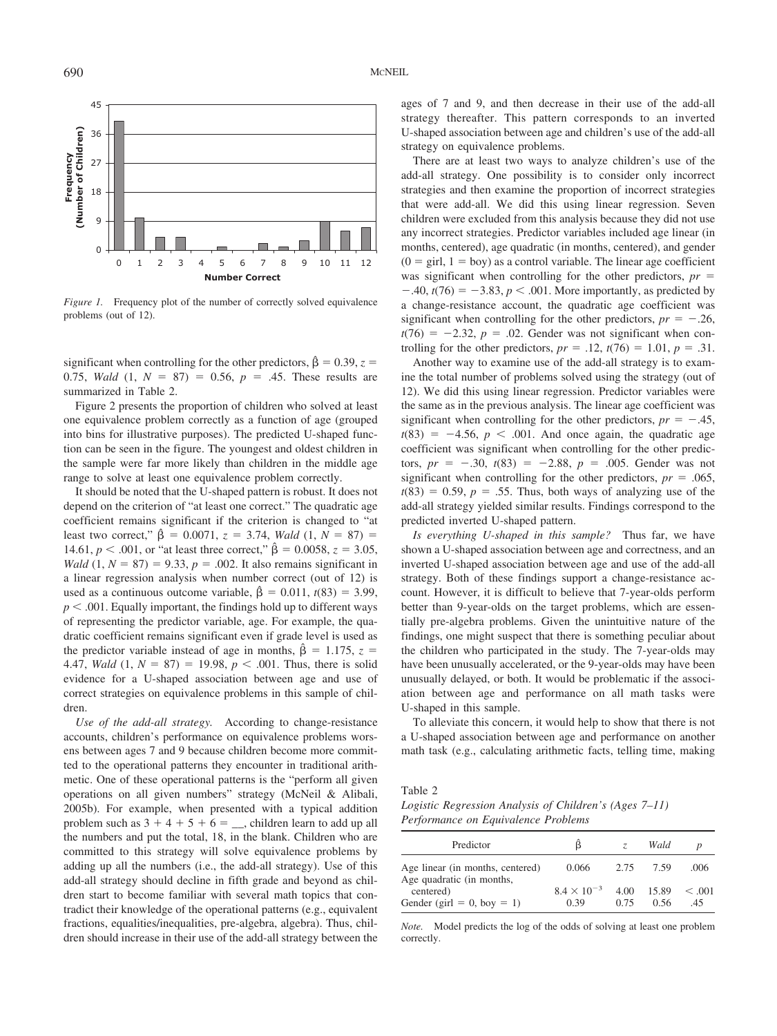

*Figure 1.* Frequency plot of the number of correctly solved equivalence problems (out of 12).

significant when controlling for the other predictors,  $\hat{\beta} = 0.39$ ,  $z =$ 0.75, *Wald*  $(1, N = 87) = 0.56$ ,  $p = .45$ . These results are summarized in Table 2.

Figure 2 presents the proportion of children who solved at least one equivalence problem correctly as a function of age (grouped into bins for illustrative purposes). The predicted U-shaped function can be seen in the figure. The youngest and oldest children in the sample were far more likely than children in the middle age range to solve at least one equivalence problem correctly.

It should be noted that the U-shaped pattern is robust. It does not depend on the criterion of "at least one correct." The quadratic age coefficient remains significant if the criterion is changed to "at least two correct,"  $\hat{\beta} = 0.0071$ ,  $z = 3.74$ , *Wald*  $(1, N = 87) =$ 14.61,  $p < .001$ , or "at least three correct,"  $\hat{\beta} = 0.0058$ ,  $z = 3.05$ , *Wald*  $(1, N = 87) = 9.33, p = .002$ . It also remains significant in a linear regression analysis when number correct (out of 12) is used as a continuous outcome variable,  $\hat{\beta} = 0.011$ ,  $t(83) = 3.99$ ,  $p < .001$ . Equally important, the findings hold up to different ways of representing the predictor variable, age. For example, the quadratic coefficient remains significant even if grade level is used as the predictor variable instead of age in months,  $\hat{\beta} = 1.175$ ,  $z =$ 4.47, *Wald*  $(1, N = 87) = 19.98, p < .001$ . Thus, there is solid evidence for a U-shaped association between age and use of correct strategies on equivalence problems in this sample of children.

*Use of the add-all strategy.* According to change-resistance accounts, children's performance on equivalence problems worsens between ages 7 and 9 because children become more committed to the operational patterns they encounter in traditional arithmetic. One of these operational patterns is the "perform all given operations on all given numbers" strategy (McNeil & Alibali, 2005b). For example, when presented with a typical addition problem such as  $3 + 4 + 5 + 6 = \underline{\hspace{1cm}}$ , children learn to add up all the numbers and put the total, 18, in the blank. Children who are committed to this strategy will solve equivalence problems by adding up all the numbers (i.e., the add-all strategy). Use of this add-all strategy should decline in fifth grade and beyond as children start to become familiar with several math topics that contradict their knowledge of the operational patterns (e.g., equivalent fractions, equalities/inequalities, pre-algebra, algebra). Thus, children should increase in their use of the add-all strategy between the ages of 7 and 9, and then decrease in their use of the add-all strategy thereafter. This pattern corresponds to an inverted U-shaped association between age and children's use of the add-all strategy on equivalence problems.

There are at least two ways to analyze children's use of the add-all strategy. One possibility is to consider only incorrect strategies and then examine the proportion of incorrect strategies that were add-all. We did this using linear regression. Seven children were excluded from this analysis because they did not use any incorrect strategies. Predictor variables included age linear (in months, centered), age quadratic (in months, centered), and gender  $(0 = \text{girl}, 1 = \text{boy})$  as a control variable. The linear age coefficient was significant when controlling for the other predictors,  $pr =$  $-40$ ,  $t(76) = -3.83$ ,  $p < .001$ . More importantly, as predicted by a change-resistance account, the quadratic age coefficient was significant when controlling for the other predictors,  $pr = -.26$ ,  $t(76) = -2.32$ ,  $p = .02$ . Gender was not significant when controlling for the other predictors,  $pr = .12$ ,  $t(76) = 1.01$ ,  $p = .31$ .

Another way to examine use of the add-all strategy is to examine the total number of problems solved using the strategy (out of 12). We did this using linear regression. Predictor variables were the same as in the previous analysis. The linear age coefficient was significant when controlling for the other predictors,  $pr = -.45$ ,  $t(83) = -4.56$ ,  $p < .001$ . And once again, the quadratic age coefficient was significant when controlling for the other predictors,  $pr = -.30, t(83) = -2.88, p = .005$ . Gender was not significant when controlling for the other predictors,  $pr = .065$ ,  $t(83) = 0.59$ ,  $p = .55$ . Thus, both ways of analyzing use of the add-all strategy yielded similar results. Findings correspond to the predicted inverted U-shaped pattern.

*Is everything U-shaped in this sample?* Thus far, we have shown a U-shaped association between age and correctness, and an inverted U-shaped association between age and use of the add-all strategy. Both of these findings support a change-resistance account. However, it is difficult to believe that 7-year-olds perform better than 9-year-olds on the target problems, which are essentially pre-algebra problems. Given the unintuitive nature of the findings, one might suspect that there is something peculiar about the children who participated in the study. The 7-year-olds may have been unusually accelerated, or the 9-year-olds may have been unusually delayed, or both. It would be problematic if the association between age and performance on all math tasks were U-shaped in this sample.

To alleviate this concern, it would help to show that there is not a U-shaped association between age and performance on another math task (e.g., calculating arithmetic facts, telling time, making

Table 2

*Logistic Regression Analysis of Children's (Ages 7–11) Performance on Equivalence Problems*

| Predictor                                                     | ß                            | 7            | Wald          |                |
|---------------------------------------------------------------|------------------------------|--------------|---------------|----------------|
| Age linear (in months, centered)<br>Age quadratic (in months, | 0.066                        | 2.75         | 7.59          | .006           |
| centered)<br>Gender (girl = 0, boy = 1)                       | $8.4 \times 10^{-3}$<br>0.39 | 4.00<br>0.75 | 15.89<br>0.56 | < 0.001<br>.45 |

*Note.* Model predicts the log of the odds of solving at least one problem correctly.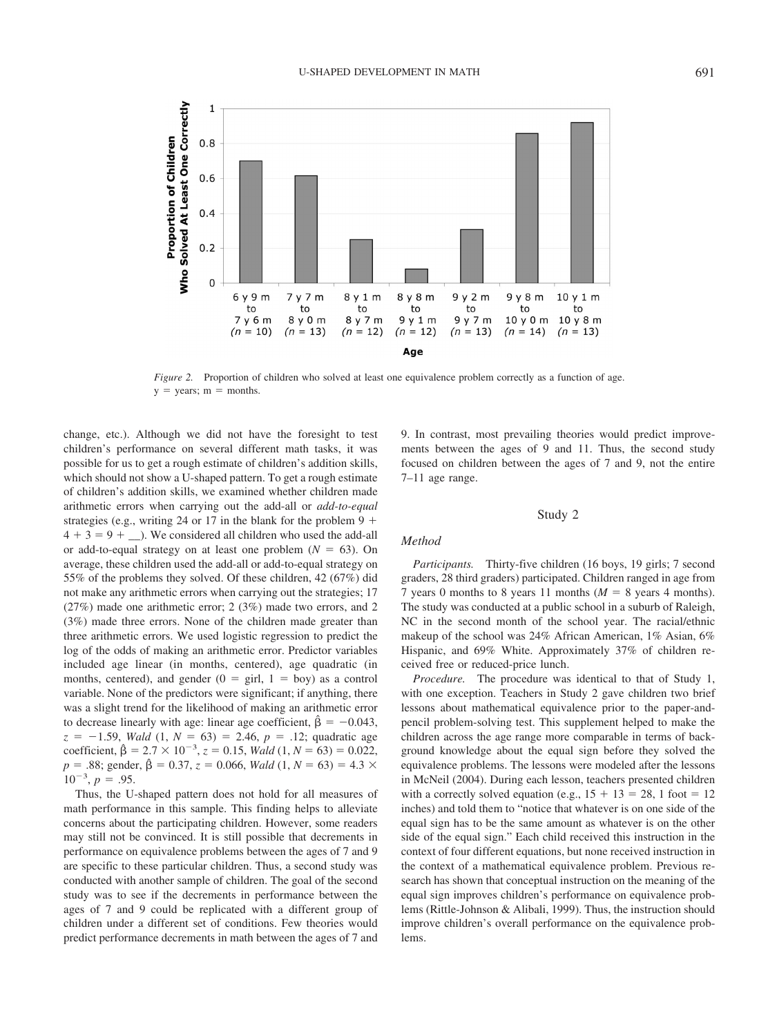

*Figure 2.* Proportion of children who solved at least one equivalence problem correctly as a function of age.  $y = \text{years}; m = \text{months}.$ 

change, etc.). Although we did not have the foresight to test children's performance on several different math tasks, it was possible for us to get a rough estimate of children's addition skills, which should not show a U-shaped pattern. To get a rough estimate of children's addition skills, we examined whether children made arithmetic errors when carrying out the add-all or *add-to-equal* strategies (e.g., writing 24 or 17 in the blank for the problem  $9 +$  $4 + 3 = 9 + \dots$ ). We considered all children who used the add-all or add-to-equal strategy on at least one problem  $(N = 63)$ . On average, these children used the add-all or add-to-equal strategy on 55% of the problems they solved. Of these children, 42 (67%) did not make any arithmetic errors when carrying out the strategies; 17 (27%) made one arithmetic error; 2 (3%) made two errors, and 2 (3%) made three errors. None of the children made greater than three arithmetic errors. We used logistic regression to predict the log of the odds of making an arithmetic error. Predictor variables included age linear (in months, centered), age quadratic (in months, centered), and gender  $(0 = \text{girl}, 1 = \text{boy})$  as a control variable. None of the predictors were significant; if anything, there was a slight trend for the likelihood of making an arithmetic error to decrease linearly with age: linear age coefficient,  $\hat{\beta} = -0.043$ ,  $z = -1.59$ , *Wald*  $(1, N = 63) = 2.46$ ,  $p = .12$ ; quadratic age coefficient,  $\hat{\beta} = 2.7 \times 10^{-3}$ ,  $z = 0.15$ , *Wald*  $(1, N = 63) = 0.022$ ,  $p = .88$ ; gender,  $\hat{\beta} = 0.37$ ,  $z = 0.066$ , *Wald*  $(1, N = 63) = 4.3 \times$  $10^{-3}$ ,  $p = .95$ .

Thus, the U-shaped pattern does not hold for all measures of math performance in this sample. This finding helps to alleviate concerns about the participating children. However, some readers may still not be convinced. It is still possible that decrements in performance on equivalence problems between the ages of 7 and 9 are specific to these particular children. Thus, a second study was conducted with another sample of children. The goal of the second study was to see if the decrements in performance between the ages of 7 and 9 could be replicated with a different group of children under a different set of conditions. Few theories would predict performance decrements in math between the ages of 7 and 9. In contrast, most prevailing theories would predict improvements between the ages of 9 and 11. Thus, the second study focused on children between the ages of 7 and 9, not the entire 7–11 age range.

### Study 2

#### *Method*

*Participants.* Thirty-five children (16 boys, 19 girls; 7 second graders, 28 third graders) participated. Children ranged in age from 7 years 0 months to 8 years 11 months  $(M = 8$  years 4 months). The study was conducted at a public school in a suburb of Raleigh, NC in the second month of the school year. The racial/ethnic makeup of the school was 24% African American, 1% Asian, 6% Hispanic, and 69% White. Approximately 37% of children received free or reduced-price lunch.

*Procedure.* The procedure was identical to that of Study 1, with one exception. Teachers in Study 2 gave children two brief lessons about mathematical equivalence prior to the paper-andpencil problem-solving test. This supplement helped to make the children across the age range more comparable in terms of background knowledge about the equal sign before they solved the equivalence problems. The lessons were modeled after the lessons in McNeil (2004). During each lesson, teachers presented children with a correctly solved equation (e.g.,  $15 + 13 = 28$ , 1 foot = 12 inches) and told them to "notice that whatever is on one side of the equal sign has to be the same amount as whatever is on the other side of the equal sign." Each child received this instruction in the context of four different equations, but none received instruction in the context of a mathematical equivalence problem. Previous research has shown that conceptual instruction on the meaning of the equal sign improves children's performance on equivalence problems (Rittle-Johnson & Alibali, 1999). Thus, the instruction should improve children's overall performance on the equivalence problems.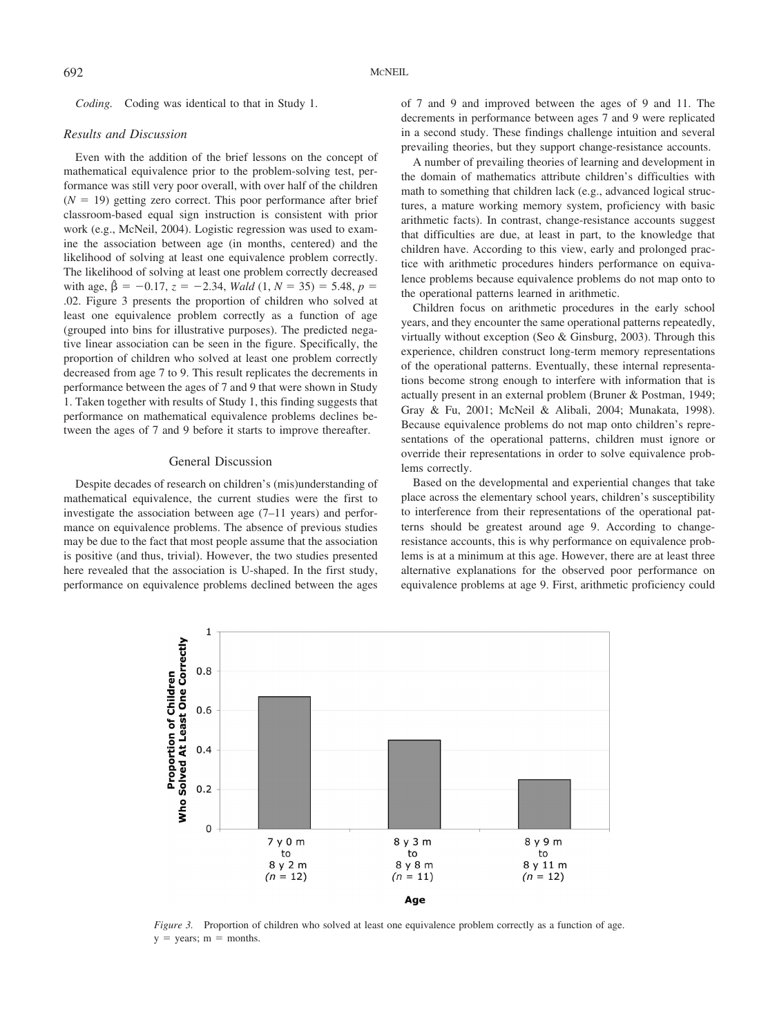*Coding.* Coding was identical to that in Study 1.

### *Results and Discussion*

Even with the addition of the brief lessons on the concept of mathematical equivalence prior to the problem-solving test, performance was still very poor overall, with over half of the children  $(N = 19)$  getting zero correct. This poor performance after brief classroom-based equal sign instruction is consistent with prior work (e.g., McNeil, 2004). Logistic regression was used to examine the association between age (in months, centered) and the likelihood of solving at least one equivalence problem correctly. The likelihood of solving at least one problem correctly decreased with age,  $\hat{\beta} = -0.17$ ,  $z = -2.34$ , *Wald*  $(1, N = 35) = 5.48$ ,  $p =$ .02. Figure 3 presents the proportion of children who solved at least one equivalence problem correctly as a function of age (grouped into bins for illustrative purposes). The predicted negative linear association can be seen in the figure. Specifically, the proportion of children who solved at least one problem correctly decreased from age 7 to 9. This result replicates the decrements in performance between the ages of 7 and 9 that were shown in Study 1. Taken together with results of Study 1, this finding suggests that performance on mathematical equivalence problems declines between the ages of 7 and 9 before it starts to improve thereafter.

# General Discussion

Despite decades of research on children's (mis)understanding of mathematical equivalence, the current studies were the first to investigate the association between age (7–11 years) and performance on equivalence problems. The absence of previous studies may be due to the fact that most people assume that the association is positive (and thus, trivial). However, the two studies presented here revealed that the association is U-shaped. In the first study, performance on equivalence problems declined between the ages of 7 and 9 and improved between the ages of 9 and 11. The decrements in performance between ages 7 and 9 were replicated in a second study. These findings challenge intuition and several prevailing theories, but they support change-resistance accounts.

A number of prevailing theories of learning and development in the domain of mathematics attribute children's difficulties with math to something that children lack (e.g., advanced logical structures, a mature working memory system, proficiency with basic arithmetic facts). In contrast, change-resistance accounts suggest that difficulties are due, at least in part, to the knowledge that children have. According to this view, early and prolonged practice with arithmetic procedures hinders performance on equivalence problems because equivalence problems do not map onto to the operational patterns learned in arithmetic.

Children focus on arithmetic procedures in the early school years, and they encounter the same operational patterns repeatedly, virtually without exception (Seo & Ginsburg, 2003). Through this experience, children construct long-term memory representations of the operational patterns. Eventually, these internal representations become strong enough to interfere with information that is actually present in an external problem (Bruner & Postman, 1949; Gray & Fu, 2001; McNeil & Alibali, 2004; Munakata, 1998). Because equivalence problems do not map onto children's representations of the operational patterns, children must ignore or override their representations in order to solve equivalence problems correctly.

Based on the developmental and experiential changes that take place across the elementary school years, children's susceptibility to interference from their representations of the operational patterns should be greatest around age 9. According to changeresistance accounts, this is why performance on equivalence problems is at a minimum at this age. However, there are at least three alternative explanations for the observed poor performance on equivalence problems at age 9. First, arithmetic proficiency could



*Figure 3.* Proportion of children who solved at least one equivalence problem correctly as a function of age.  $y = \text{years}; m = \text{months}.$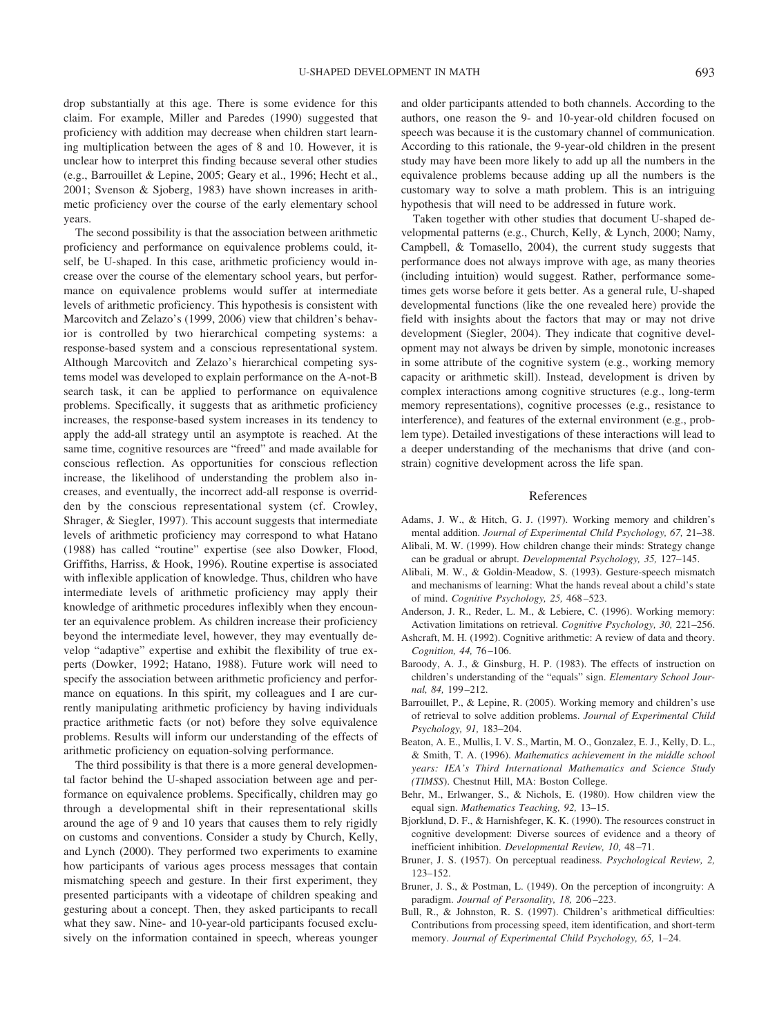drop substantially at this age. There is some evidence for this claim. For example, Miller and Paredes (1990) suggested that proficiency with addition may decrease when children start learning multiplication between the ages of 8 and 10. However, it is unclear how to interpret this finding because several other studies (e.g., Barrouillet & Lepine, 2005; Geary et al., 1996; Hecht et al., 2001; Svenson & Sjoberg, 1983) have shown increases in arithmetic proficiency over the course of the early elementary school years.

The second possibility is that the association between arithmetic proficiency and performance on equivalence problems could, itself, be U-shaped. In this case, arithmetic proficiency would increase over the course of the elementary school years, but performance on equivalence problems would suffer at intermediate levels of arithmetic proficiency. This hypothesis is consistent with Marcovitch and Zelazo's (1999, 2006) view that children's behavior is controlled by two hierarchical competing systems: a response-based system and a conscious representational system. Although Marcovitch and Zelazo's hierarchical competing systems model was developed to explain performance on the A-not-B search task, it can be applied to performance on equivalence problems. Specifically, it suggests that as arithmetic proficiency increases, the response-based system increases in its tendency to apply the add-all strategy until an asymptote is reached. At the same time, cognitive resources are "freed" and made available for conscious reflection. As opportunities for conscious reflection increase, the likelihood of understanding the problem also increases, and eventually, the incorrect add-all response is overridden by the conscious representational system (cf. Crowley, Shrager, & Siegler, 1997). This account suggests that intermediate levels of arithmetic proficiency may correspond to what Hatano (1988) has called "routine" expertise (see also Dowker, Flood, Griffiths, Harriss, & Hook, 1996). Routine expertise is associated with inflexible application of knowledge. Thus, children who have intermediate levels of arithmetic proficiency may apply their knowledge of arithmetic procedures inflexibly when they encounter an equivalence problem. As children increase their proficiency beyond the intermediate level, however, they may eventually develop "adaptive" expertise and exhibit the flexibility of true experts (Dowker, 1992; Hatano, 1988). Future work will need to specify the association between arithmetic proficiency and performance on equations. In this spirit, my colleagues and I are currently manipulating arithmetic proficiency by having individuals practice arithmetic facts (or not) before they solve equivalence problems. Results will inform our understanding of the effects of arithmetic proficiency on equation-solving performance.

The third possibility is that there is a more general developmental factor behind the U-shaped association between age and performance on equivalence problems. Specifically, children may go through a developmental shift in their representational skills around the age of 9 and 10 years that causes them to rely rigidly on customs and conventions. Consider a study by Church, Kelly, and Lynch (2000). They performed two experiments to examine how participants of various ages process messages that contain mismatching speech and gesture. In their first experiment, they presented participants with a videotape of children speaking and gesturing about a concept. Then, they asked participants to recall what they saw. Nine- and 10-year-old participants focused exclusively on the information contained in speech, whereas younger and older participants attended to both channels. According to the authors, one reason the 9- and 10-year-old children focused on speech was because it is the customary channel of communication. According to this rationale, the 9-year-old children in the present study may have been more likely to add up all the numbers in the equivalence problems because adding up all the numbers is the customary way to solve a math problem. This is an intriguing hypothesis that will need to be addressed in future work.

Taken together with other studies that document U-shaped developmental patterns (e.g., Church, Kelly, & Lynch, 2000; Namy, Campbell, & Tomasello, 2004), the current study suggests that performance does not always improve with age, as many theories (including intuition) would suggest. Rather, performance sometimes gets worse before it gets better. As a general rule, U-shaped developmental functions (like the one revealed here) provide the field with insights about the factors that may or may not drive development (Siegler, 2004). They indicate that cognitive development may not always be driven by simple, monotonic increases in some attribute of the cognitive system (e.g., working memory capacity or arithmetic skill). Instead, development is driven by complex interactions among cognitive structures (e.g., long-term memory representations), cognitive processes (e.g., resistance to interference), and features of the external environment (e.g., problem type). Detailed investigations of these interactions will lead to a deeper understanding of the mechanisms that drive (and constrain) cognitive development across the life span.

## References

- Adams, J. W., & Hitch, G. J. (1997). Working memory and children's mental addition. *Journal of Experimental Child Psychology, 67,* 21–38.
- Alibali, M. W. (1999). How children change their minds: Strategy change can be gradual or abrupt. *Developmental Psychology, 35,* 127–145.
- Alibali, M. W., & Goldin-Meadow, S. (1993). Gesture-speech mismatch and mechanisms of learning: What the hands reveal about a child's state of mind. *Cognitive Psychology, 25,* 468–523.
- Anderson, J. R., Reder, L. M., & Lebiere, C. (1996). Working memory: Activation limitations on retrieval. *Cognitive Psychology, 30,* 221–256.
- Ashcraft, M. H. (1992). Cognitive arithmetic: A review of data and theory. *Cognition, 44,* 76–106.
- Baroody, A. J., & Ginsburg, H. P. (1983). The effects of instruction on children's understanding of the "equals" sign. *Elementary School Journal, 84,* 199–212.
- Barrouillet, P., & Lepine, R. (2005). Working memory and children's use of retrieval to solve addition problems. *Journal of Experimental Child Psychology, 91,* 183–204.
- Beaton, A. E., Mullis, I. V. S., Martin, M. O., Gonzalez, E. J., Kelly, D. L., & Smith, T. A. (1996). *Mathematics achievement in the middle school years: IEA's Third International Mathematics and Science Study (TIMSS*). Chestnut Hill, MA: Boston College.
- Behr, M., Erlwanger, S., & Nichols, E. (1980). How children view the equal sign. *Mathematics Teaching, 92,* 13–15.
- Bjorklund, D. F., & Harnishfeger, K. K. (1990). The resources construct in cognitive development: Diverse sources of evidence and a theory of inefficient inhibition. *Developmental Review, 10,* 48–71.
- Bruner, J. S. (1957). On perceptual readiness. *Psychological Review, 2,* 123–152.
- Bruner, J. S., & Postman, L. (1949). On the perception of incongruity: A paradigm. *Journal of Personality, 18,* 206–223.
- Bull, R., & Johnston, R. S. (1997). Children's arithmetical difficulties: Contributions from processing speed, item identification, and short-term memory. *Journal of Experimental Child Psychology, 65,* 1–24.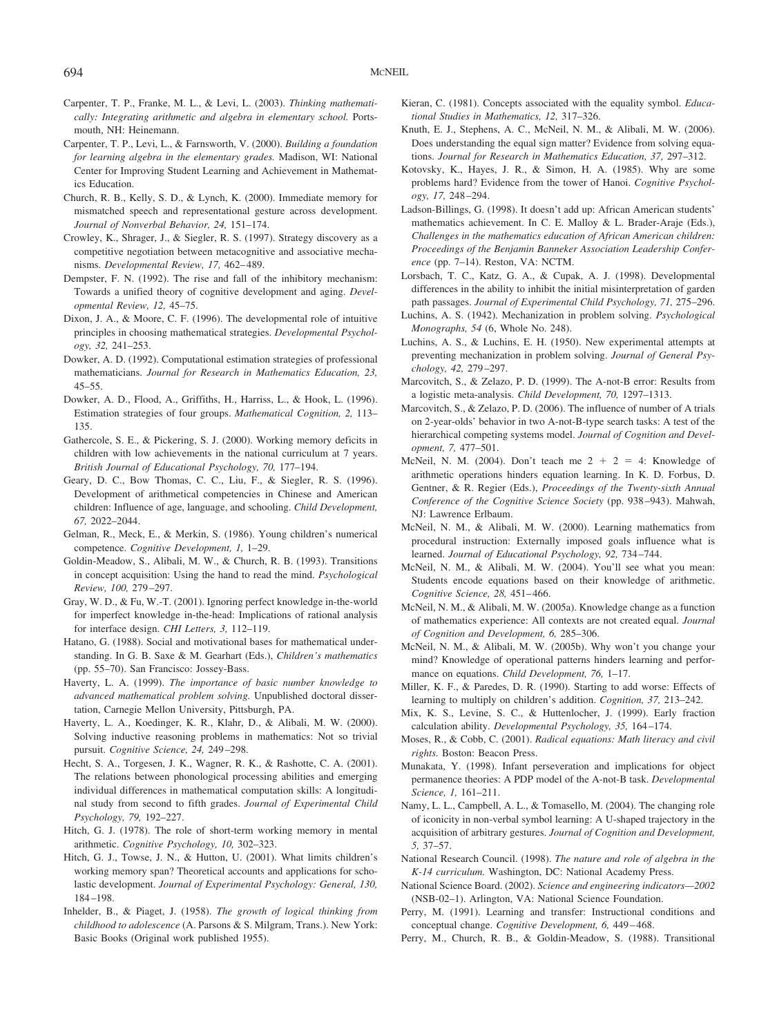- Carpenter, T. P., Franke, M. L., & Levi, L. (2003). *Thinking mathematically: Integrating arithmetic and algebra in elementary school.* Portsmouth, NH: Heinemann.
- Carpenter, T. P., Levi, L., & Farnsworth, V. (2000). *Building a foundation for learning algebra in the elementary grades.* Madison, WI: National Center for Improving Student Learning and Achievement in Mathematics Education.
- Church, R. B., Kelly, S. D., & Lynch, K. (2000). Immediate memory for mismatched speech and representational gesture across development. *Journal of Nonverbal Behavior, 24,* 151–174.
- Crowley, K., Shrager, J., & Siegler, R. S. (1997). Strategy discovery as a competitive negotiation between metacognitive and associative mechanisms. *Developmental Review, 17,* 462–489.
- Dempster, F. N. (1992). The rise and fall of the inhibitory mechanism: Towards a unified theory of cognitive development and aging. *Developmental Review, 12,* 45–75.
- Dixon, J. A., & Moore, C. F. (1996). The developmental role of intuitive principles in choosing mathematical strategies. *Developmental Psychology, 32,* 241–253.
- Dowker, A. D. (1992). Computational estimation strategies of professional mathematicians. *Journal for Research in Mathematics Education, 23,* 45–55.
- Dowker, A. D., Flood, A., Griffiths, H., Harriss, L., & Hook, L. (1996). Estimation strategies of four groups. *Mathematical Cognition, 2,* 113– 135.
- Gathercole, S. E., & Pickering, S. J. (2000). Working memory deficits in children with low achievements in the national curriculum at 7 years. *British Journal of Educational Psychology, 70,* 177–194.
- Geary, D. C., Bow Thomas, C. C., Liu, F., & Siegler, R. S. (1996). Development of arithmetical competencies in Chinese and American children: Influence of age, language, and schooling. *Child Development, 67,* 2022–2044.
- Gelman, R., Meck, E., & Merkin, S. (1986). Young children's numerical competence. *Cognitive Development, 1,* 1–29.
- Goldin-Meadow, S., Alibali, M. W., & Church, R. B. (1993). Transitions in concept acquisition: Using the hand to read the mind. *Psychological Review, 100,* 279–297.
- Gray, W. D., & Fu, W.-T. (2001). Ignoring perfect knowledge in-the-world for imperfect knowledge in-the-head: Implications of rational analysis for interface design. *CHI Letters, 3,* 112–119.
- Hatano, G. (1988). Social and motivational bases for mathematical understanding. In G. B. Saxe & M. Gearhart (Eds.), *Children's mathematics* (pp. 55–70). San Francisco: Jossey-Bass.
- Haverty, L. A. (1999). *The importance of basic number knowledge to advanced mathematical problem solving.* Unpublished doctoral dissertation, Carnegie Mellon University, Pittsburgh, PA.
- Haverty, L. A., Koedinger, K. R., Klahr, D., & Alibali, M. W. (2000). Solving inductive reasoning problems in mathematics: Not so trivial pursuit. *Cognitive Science, 24,* 249–298.
- Hecht, S. A., Torgesen, J. K., Wagner, R. K., & Rashotte, C. A. (2001). The relations between phonological processing abilities and emerging individual differences in mathematical computation skills: A longitudinal study from second to fifth grades. *Journal of Experimental Child Psychology, 79,* 192–227.
- Hitch, G. J. (1978). The role of short-term working memory in mental arithmetic. *Cognitive Psychology, 10,* 302–323.
- Hitch, G. J., Towse, J. N., & Hutton, U. (2001). What limits children's working memory span? Theoretical accounts and applications for scholastic development. *Journal of Experimental Psychology: General, 130,* 184–198.
- Inhelder, B., & Piaget, J. (1958). *The growth of logical thinking from childhood to adolescence* (A. Parsons & S. Milgram, Trans.). New York: Basic Books (Original work published 1955).
- Kieran, C. (1981). Concepts associated with the equality symbol. *Educational Studies in Mathematics, 12,* 317–326.
- Knuth, E. J., Stephens, A. C., McNeil, N. M., & Alibali, M. W. (2006). Does understanding the equal sign matter? Evidence from solving equations. *Journal for Research in Mathematics Education, 37,* 297–312.
- Kotovsky, K., Hayes, J. R., & Simon, H. A. (1985). Why are some problems hard? Evidence from the tower of Hanoi. *Cognitive Psychology, 17,* 248–294.
- Ladson-Billings, G. (1998). It doesn't add up: African American students' mathematics achievement. In C. E. Malloy & L. Brader-Araje (Eds.), *Challenges in the mathematics education of African American children: Proceedings of the Benjamin Banneker Association Leadership Conference* (pp. 7–14). Reston, VA: NCTM.
- Lorsbach, T. C., Katz, G. A., & Cupak, A. J. (1998). Developmental differences in the ability to inhibit the initial misinterpretation of garden path passages. *Journal of Experimental Child Psychology, 71,* 275–296.
- Luchins, A. S. (1942). Mechanization in problem solving. *Psychological Monographs, 54* (6, Whole No. 248).
- Luchins, A. S., & Luchins, E. H. (1950). New experimental attempts at preventing mechanization in problem solving. *Journal of General Psychology, 42,* 279–297.
- Marcovitch, S., & Zelazo, P. D. (1999). The A-not-B error: Results from a logistic meta-analysis. *Child Development, 70,* 1297–1313.
- Marcovitch, S., & Zelazo, P. D. (2006). The influence of number of A trials on 2-year-olds' behavior in two A-not-B-type search tasks: A test of the hierarchical competing systems model. *Journal of Cognition and Development, 7,* 477–501.
- McNeil, N. M. (2004). Don't teach me  $2 + 2 = 4$ : Knowledge of arithmetic operations hinders equation learning. In K. D. Forbus, D. Gentner, & R. Regier (Eds.), *Proceedings of the Twenty-sixth Annual Conference of the Cognitive Science Society* (pp. 938–943). Mahwah, NJ: Lawrence Erlbaum.
- McNeil, N. M., & Alibali, M. W. (2000). Learning mathematics from procedural instruction: Externally imposed goals influence what is learned. *Journal of Educational Psychology, 92,* 734–744.
- McNeil, N. M., & Alibali, M. W. (2004). You'll see what you mean: Students encode equations based on their knowledge of arithmetic. *Cognitive Science, 28,* 451–466.
- McNeil, N. M., & Alibali, M. W. (2005a). Knowledge change as a function of mathematics experience: All contexts are not created equal. *Journal of Cognition and Development, 6,* 285–306.
- McNeil, N. M., & Alibali, M. W. (2005b). Why won't you change your mind? Knowledge of operational patterns hinders learning and performance on equations. *Child Development, 76,* 1–17.
- Miller, K. F., & Paredes, D. R. (1990). Starting to add worse: Effects of learning to multiply on children's addition. *Cognition, 37,* 213–242.
- Mix, K. S., Levine, S. C., & Huttenlocher, J. (1999). Early fraction calculation ability. *Developmental Psychology, 35,* 164–174.
- Moses, R., & Cobb, C. (2001). *Radical equations: Math literacy and civil rights.* Boston: Beacon Press.
- Munakata, Y. (1998). Infant perseveration and implications for object permanence theories: A PDP model of the A-not-B task. *Developmental Science, 1,* 161–211.
- Namy, L. L., Campbell, A. L., & Tomasello, M. (2004). The changing role of iconicity in non-verbal symbol learning: A U-shaped trajectory in the acquisition of arbitrary gestures. *Journal of Cognition and Development, 5,* 37–57.
- National Research Council. (1998). *The nature and role of algebra in the K-14 curriculum.* Washington, DC: National Academy Press.
- National Science Board. (2002). *Science and engineering indicators—2002* (NSB-02–1). Arlington, VA: National Science Foundation.
- Perry, M. (1991). Learning and transfer: Instructional conditions and conceptual change. *Cognitive Development, 6,* 449–468.
- Perry, M., Church, R. B., & Goldin-Meadow, S. (1988). Transitional